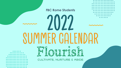## **FBC Rome Students**

2022

IMFR GAI FNDAR

CULTIVATE, NURTURE & ABIDE

Flourish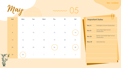**2022 - CALENDAR** 

 $\bigcap$ 



05 mm

|   | Sun            | Mon           | Tue                      | Wed                      | Thu        | Fri              | Sat            |
|---|----------------|---------------|--------------------------|--------------------------|------------|------------------|----------------|
|   | $\overline{1}$ | $\sqrt{2}$    | $\mathfrak{Z}$           | $\overline{4}$           | $\sqrt{5}$ | $\boldsymbol{6}$ | $\overline{7}$ |
|   | 8              | $\mathcal{P}$ | $10$                     | $\overline{\phantom{a}}$ | 12         | 13               | 4              |
|   | $15\,$         | 16            | $17\,$                   | $18\,$                   | $19$       | 20               | 21             |
|   | 22             | 23            | 24                       | 25                       | 26         | 27               | 28             |
| 9 | 29             | $30\,$        | $\overline{\phantom{a}}$ | $\sqrt{2}$               | $\Im$      | $\sqrt{2}$       | $\mathcal S$   |

| <b>Important Dates</b>                   |  |  |  |  |  |
|------------------------------------------|--|--|--|--|--|
| <b>Darlington School Graduation</b>      |  |  |  |  |  |
| Armuchee High School<br>Graduation       |  |  |  |  |  |
| Rome and Model High School<br>Graduation |  |  |  |  |  |
| <b>Memorial Day</b>                      |  |  |  |  |  |
|                                          |  |  |  |  |  |
|                                          |  |  |  |  |  |
|                                          |  |  |  |  |  |
|                                          |  |  |  |  |  |
|                                          |  |  |  |  |  |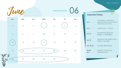## **2022 - CALENDAR**







## **Important Dates**

| Jun 1                   | Let's Flourish   4:00-9:00 pm<br>• Bluem • Dinner- Harvest Moon<br>• Mountains Ice Cream |
|-------------------------|------------------------------------------------------------------------------------------|
| Jun <sub>3</sub>        | Mystery Lunch   11:30 am                                                                 |
| <b>Jun 12</b>           | Summer Kick-Off at the<br>Bagby's   6:00-8:00pm                                          |
| <b>Jun 15</b>           | Diving into the WORD at the<br>Keith's   6pm-8pm                                         |
| <b>Jun 20-23</b>        | <b>Vacation Bible School</b>                                                             |
| <b>Jun 26-</b><br>Jul 1 | Passport Youth Camp<br>Greensboro, NC                                                    |
|                         |                                                                                          |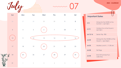July  $\begin{array}{cccccccccccccc} \bullet & \bullet & \bullet & \bullet & \bullet & \bullet \end{array}$  $\bullet\bullet\bullet$ 

mm 07

|  | 2022 - CALENDAR |
|--|-----------------|
|--|-----------------|

|   | Sun            | Mon             | Tue            | Wed              | Thu            | Fri          | Sat                     |
|---|----------------|-----------------|----------------|------------------|----------------|--------------|-------------------------|
|   | 26             | $27\,$          | $28\,$         | 29               | $30\,$         | $\mathbf{1}$ | $\overline{\mathbf{2}}$ |
|   | $\mathfrak{S}$ | $\overline{4}$  | $\overline{5}$ | $\boldsymbol{6}$ | $\overline{7}$ | 08           | $\mathcal{P}$           |
|   | $10\,$         | $\overline{11}$ | $12 \,$        | $13\,$           | $\sqrt{14}$    | $15\,$       | 16                      |
|   | $17\,$         | 18              | 19             | $20\,$           | 21             | $22\,$       | $23\,$                  |
|   | 24             | 25              | 26             | 27               | 28             | 29           | 30                      |
| P | 31             | $\overline{1}$  | $\sqrt{2}$     | $\Im$            | $\sqrt{ }$     | $\mathcal S$ | $\acute{\rm{o}}$        |

| <b>Important Dates</b> |                                                   |  |
|------------------------|---------------------------------------------------|--|
| Jul 6                  | Diving into the WORD at the<br>Sumner's   6pm-8pm |  |

| <b>Jul 10</b>    | Outdoor Fun at the Poyner's<br>6pm-8pm            |
|------------------|---------------------------------------------------|
| <b>Jul 12-16</b> | Senior Trip-TBD                                   |
| <b>Jul 20</b>    | Diving into the WORD at the<br>$Hood's$   6pm-8pm |
| <b>Jul 25</b>    | Mystery Lunch   11:30 am                          |
| <b>Jul 28</b>    | <b>Six Flags</b>                                  |
| <b>Jul 30</b>    | End Of Summer Fun:<br>Lake Day                    |
|                  |                                                   |